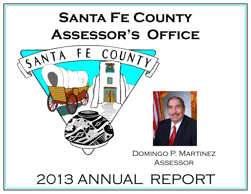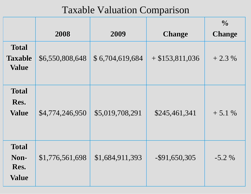|                                                | 2008            | 2009            | <b>Change</b>     | $\frac{0}{0}$<br><b>Change</b> |
|------------------------------------------------|-----------------|-----------------|-------------------|--------------------------------|
| <b>Total</b><br><b>Taxable</b><br><b>Value</b> | \$6,550,808,648 | \$6,704,619,684 | $+$ \$153,811,036 | $+2.3%$                        |
| <b>Total</b><br>Res.<br><b>Value</b>           | \$4,774,246,950 | \$5,019,708,291 | \$245,461,341     | $+5.1%$                        |
| <b>Total</b><br>Non-<br>Res.<br><b>Value</b>   | \$1,776,561,698 | \$1,684,911,393 | $-$ \$91,650,305  | $-5.2\%$                       |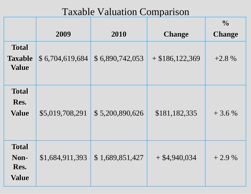|                                                | 2009            | 2010            | <b>Change</b>     | $\frac{0}{0}$<br><b>Change</b> |
|------------------------------------------------|-----------------|-----------------|-------------------|--------------------------------|
| <b>Total</b><br><b>Taxable</b><br><b>Value</b> | \$6,704,619,684 | \$6,890,742,053 | $+$ \$186,122,369 | $+2.8%$                        |
| <b>Total</b><br>Res.<br><b>Value</b>           | \$5,019,708,291 | \$5,200,890,626 | \$181,182,335     | $+3.6%$                        |
| <b>Total</b><br>Non-<br>Res.<br><b>Value</b>   | \$1,684,911,393 | \$1,689,851,427 | $+$ \$4,940,034   | $+2.9\%$                       |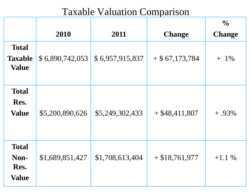|                                                |                 |                 |                   | $\frac{0}{0}$ |
|------------------------------------------------|-----------------|-----------------|-------------------|---------------|
|                                                | 2010            | 2011            | <b>Change</b>     | <b>Change</b> |
| <b>Total</b><br><b>Taxable</b><br><b>Value</b> | \$6,890,742,053 | \$6,957,915,837 | $+$ \$ 67,173,784 | $1\%$<br>$+$  |
| <b>Total</b><br>Res.<br><b>Value</b>           | \$5,200,890,626 | \$5,249,302,433 | $+$ \$48,411,807  | $+ .93\%$     |
| <b>Total</b><br>Non-<br>Res.<br><b>Value</b>   | \$1,689,851,427 | \$1,708,613,404 | $+$ \$18,761,977  | $+1.1\%$      |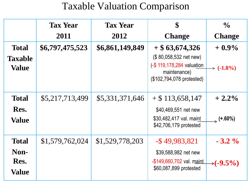|                      | <b>Tax Year</b> | <b>Tax Year</b> | \$                                                                     | $\frac{0}{0}$         |
|----------------------|-----------------|-----------------|------------------------------------------------------------------------|-----------------------|
|                      | 2011            | 2012            | <b>Change</b>                                                          | <b>Change</b>         |
| <b>Total</b>         | \$6,797,475,523 | \$6,861,149,849 | $+$ \$ 63,674,326                                                      | $+0.9\%$              |
| <b>Taxable</b>       |                 |                 | $($80,058,532$ net new)                                                |                       |
| <b>Value</b>         |                 |                 | (-\$119,178,284 valuation<br>maintenance)<br>(\$102,794,078 protested) | $\rightarrow$ (-1.8%) |
| <b>Total</b>         | \$5,217,713,499 | \$5,331,371,646 | $+$ \$ 113,658,147                                                     | $+2.2\%$              |
| Res.                 |                 |                 | \$40,469,551 net new                                                   |                       |
| <b>Value</b>         |                 |                 | \$30,482,417 val. maint<br>\$42,706,179 protested                      | $(+.60%)$             |
| <b>Total</b>         | \$1,579,762,024 | \$1,529,778,203 | $-$ \$49,983,821                                                       | $-3.2\%$              |
| Non-                 |                 |                 | \$39,588,982 net new                                                   |                       |
| Res.<br><b>Value</b> |                 |                 | -\$149,660,702 val. maint<br>\$60,087,899 protested                    | $\rightarrow$ (-9.5%) |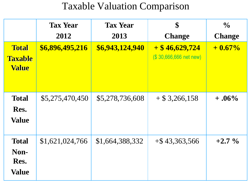|                                                | <b>Tax Year</b><br>2012 | <b>Tax Year</b><br>2013 | \$<br><b>Change</b>                        | $\frac{0}{0}$<br><b>Change</b> |
|------------------------------------------------|-------------------------|-------------------------|--------------------------------------------|--------------------------------|
| <b>Total</b><br><b>Taxable</b><br><b>Value</b> | \$6,896,495,216         | \$6,943,124,940         | $+$ \$46,629,724<br>(\$30,666,666 net new) | $+0.67\%$                      |
| <b>Total</b><br>Res.<br><b>Value</b>           | \$5,275,470,450         | \$5,278,736,608         | $+$ \$ 3,266,158                           | $+ .06\%$                      |
| <b>Total</b><br>Non-<br>Res.<br><b>Value</b>   | \$1,621,024,766         | \$1,664,388,332         | $+$ \$43,363,566                           | $+2.7\%$                       |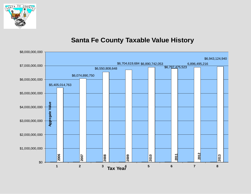

#### **Santa Fe County Taxable Value History**

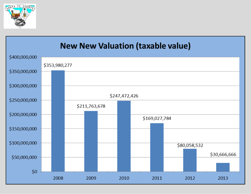

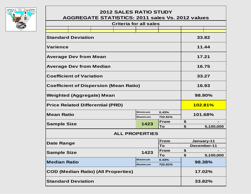

#### **2012 SALES RATIO STUDY AGGREGATE STATISTICS: 2011 sales Vs. 2012 values**

| <b>Criteria for all sales</b>                 |                                 |  |                       |                |                   |                    |            |
|-----------------------------------------------|---------------------------------|--|-----------------------|----------------|-------------------|--------------------|------------|
|                                               |                                 |  |                       |                |                   |                    |            |
| <b>Standard Deviation</b>                     |                                 |  |                       |                |                   | 33.82              |            |
| <b>Varience</b>                               |                                 |  |                       |                |                   | 11.44              |            |
| <b>Average Dev from Mean</b>                  |                                 |  |                       |                |                   | 17.21              |            |
|                                               | <b>Average Dev from Median</b>  |  |                       |                |                   |                    | 16.75      |
|                                               | <b>Coefficient of Variation</b> |  |                       |                |                   |                    | 33.27      |
| <b>Coefficient of Dispersion (Mean Ratio)</b> |                                 |  |                       |                | 16.93             |                    |            |
| <b>Weighted (Aggregate) Mean</b>              |                                 |  |                       |                | 98.90%            |                    |            |
| <b>Price Related Differential (PRD)</b>       |                                 |  |                       |                |                   | 102.81%            |            |
| <b>Mean Ratio</b>                             |                                 |  |                       | <b>Minimum</b> | 0.43%             | 101.68%            |            |
|                                               |                                 |  |                       | <b>Maximum</b> | 722.81%           |                    |            |
| <b>Sample Size</b>                            |                                 |  |                       | 1423           | <b>From</b><br>To | \$<br>$\mathbf{s}$ | 5,100,000  |
|                                               |                                 |  | <b>ALL PROPERTIES</b> |                |                   |                    |            |
|                                               |                                 |  |                       |                | <b>From</b>       |                    | January-11 |
| <b>Date Range</b><br>То                       |                                 |  |                       |                |                   | December-11        |            |
|                                               |                                 |  |                       | 1423           | <b>From</b>       | \$                 |            |
| <b>Sample Size</b>                            |                                 |  |                       |                | To                | \$                 | 5,100,000  |
| <b>Minimum</b><br><b>Median Ratio</b>         |                                 |  |                       | 0.43%          | 98.38%            |                    |            |
| <b>Maximum</b><br>722.81%                     |                                 |  |                       |                |                   |                    |            |
| <b>COD (Median Ratio) (All Properties)</b>    |                                 |  |                       |                | 17.02%            |                    |            |
| <b>Standard Deviation</b>                     |                                 |  |                       |                | 33.82%            |                    |            |